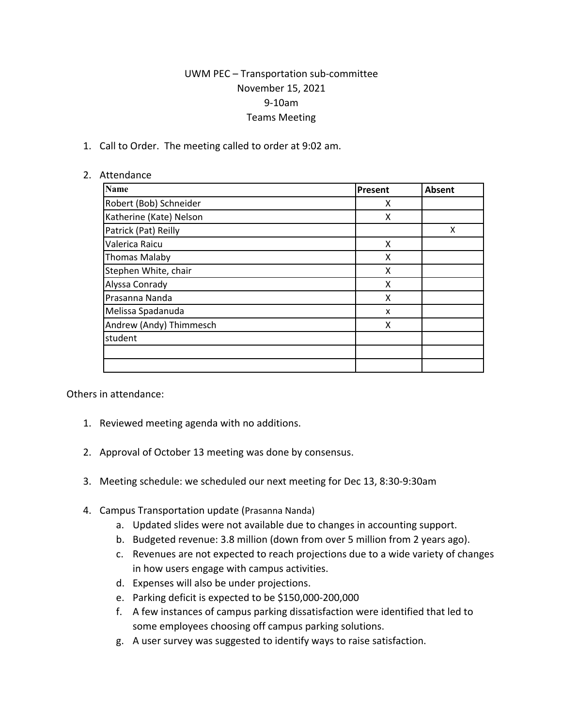## UWM PEC – Transportation sub-committee November 15, 2021 9-10am Teams Meeting

1. Call to Order. The meeting called to order at 9:02 am.

## 2. Attendance

| <b>Name</b>             | Present | <b>Absent</b> |
|-------------------------|---------|---------------|
| Robert (Bob) Schneider  | X       |               |
| Katherine (Kate) Nelson | X       |               |
| Patrick (Pat) Reilly    |         | X             |
| Valerica Raicu          | X       |               |
| <b>Thomas Malaby</b>    | X       |               |
| Stephen White, chair    | X       |               |
| Alyssa Conrady          | X       |               |
| Prasanna Nanda          | X       |               |
| Melissa Spadanuda       | X       |               |
| Andrew (Andy) Thimmesch | X       |               |
| student                 |         |               |
|                         |         |               |
|                         |         |               |

Others in attendance:

- 1. Reviewed meeting agenda with no additions.
- 2. Approval of October 13 meeting was done by consensus.
- 3. Meeting schedule: we scheduled our next meeting for Dec 13, 8:30-9:30am
- 4. Campus Transportation update (Prasanna Nanda)
	- a. Updated slides were not available due to changes in accounting support.
	- b. Budgeted revenue: 3.8 million (down from over 5 million from 2 years ago).
	- c. Revenues are not expected to reach projections due to a wide variety of changes in how users engage with campus activities.
	- d. Expenses will also be under projections.
	- e. Parking deficit is expected to be \$150,000-200,000
	- f. A few instances of campus parking dissatisfaction were identified that led to some employees choosing off campus parking solutions.
	- g. A user survey was suggested to identify ways to raise satisfaction.